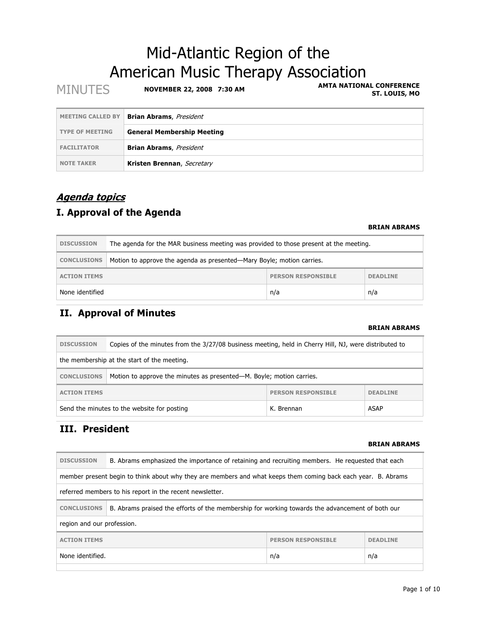# Mid-Atlantic Region of the American Music Therapy Association

| <b>MINUTES</b>           | NOVEMBER 22, 2008 7:30 AM         | <b>AMTA NATIONAL CONFERENCE</b><br>ST. LOUIS, MO |
|--------------------------|-----------------------------------|--------------------------------------------------|
| <b>MEETING CALLED BY</b> | <b>Brian Abrams</b> , President   |                                                  |
| <b>TYPE OF MEETING</b>   | <b>General Membership Meeting</b> |                                                  |
| <b>FACILITATOR</b>       | <b>Brian Abrams</b> , President   |                                                  |
| <b>NOTE TAKER</b>        | Kristen Brennan, Secretary        |                                                  |

### **Agenda topics**

### **I. Approval of the Agenda**

#### **BRIAN ABRAMS**

| <b>DISCUSSION</b>                                                   | The agenda for the MAR business meeting was provided to those present at the meeting. |  |  |  |
|---------------------------------------------------------------------|---------------------------------------------------------------------------------------|--|--|--|
| <b>CONCLUSIONS</b>                                                  | Motion to approve the agenda as presented-Mary Boyle; motion carries.                 |  |  |  |
| <b>PERSON RESPONSIBLE</b><br><b>DEADLINE</b><br><b>ACTION ITEMS</b> |                                                                                       |  |  |  |
| None identified<br>n/a<br>n/a                                       |                                                                                       |  |  |  |

## **II. Approval of Minutes**

#### **BRIAN ABRAMS**

| <b>DISCUSSION</b>                                                                          | Copies of the minutes from the 3/27/08 business meeting, held in Cherry Hill, NJ, were distributed to |  |  |  |
|--------------------------------------------------------------------------------------------|-------------------------------------------------------------------------------------------------------|--|--|--|
| the membership at the start of the meeting.                                                |                                                                                                       |  |  |  |
| Motion to approve the minutes as presented—M. Boyle; motion carries.<br><b>CONCLUSIONS</b> |                                                                                                       |  |  |  |
| <b>PERSON RESPONSIBLE</b><br><b>DEADLINE</b><br><b>ACTION ITEMS</b>                        |                                                                                                       |  |  |  |
| ASAP<br>Send the minutes to the website for posting<br>K. Brennan                          |                                                                                                       |  |  |  |

### **III. President**

#### **BRIAN ABRAMS**

| <b>DISCUSSION</b>                                                                                             | B. Abrams emphasized the importance of retaining and recruiting members. He requested that each |  |  |  |
|---------------------------------------------------------------------------------------------------------------|-------------------------------------------------------------------------------------------------|--|--|--|
| member present begin to think about why they are members and what keeps them coming back each year. B. Abrams |                                                                                                 |  |  |  |
| referred members to his report in the recent newsletter.                                                      |                                                                                                 |  |  |  |
| <b>CONCLUSIONS</b>                                                                                            | B. Abrams praised the efforts of the membership for working towards the advancement of both our |  |  |  |
| region and our profession.                                                                                    |                                                                                                 |  |  |  |
| <b>ACTION ITEMS</b><br><b>PERSON RESPONSIBLE</b><br><b>DEADLINE</b>                                           |                                                                                                 |  |  |  |
| None identified.<br>n/a<br>n/a                                                                                |                                                                                                 |  |  |  |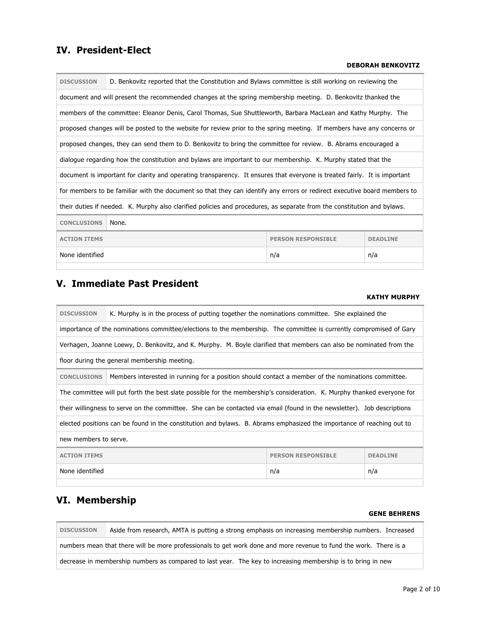### **IV. President-Elect**

#### **DEBORAH BENKOVITZ**

| <b>DISCUSSION</b>                                                   | D. Benkovitz reported that the Constitution and Bylaws committee is still working on reviewing the                        |  |  |  |
|---------------------------------------------------------------------|---------------------------------------------------------------------------------------------------------------------------|--|--|--|
|                                                                     | document and will present the recommended changes at the spring membership meeting. D. Benkovitz thanked the              |  |  |  |
|                                                                     | members of the committee: Eleanor Denis, Carol Thomas, Sue Shuttleworth, Barbara MacLean and Kathy Murphy. The            |  |  |  |
|                                                                     | proposed changes will be posted to the website for review prior to the spring meeting. If members have any concerns or    |  |  |  |
|                                                                     | proposed changes, they can send them to D. Benkovitz to bring the committee for review. B. Abrams encouraged a            |  |  |  |
|                                                                     | dialogue regarding how the constitution and bylaws are important to our membership. K. Murphy stated that the             |  |  |  |
|                                                                     | document is important for clarity and operating transparency. It ensures that everyone is treated fairly. It is important |  |  |  |
|                                                                     | for members to be familiar with the document so that they can identify any errors or redirect executive board members to  |  |  |  |
|                                                                     | their duties if needed. K. Murphy also clarified policies and procedures, as separate from the constitution and bylaws.   |  |  |  |
| <b>CONCLUSIONS</b><br>None.                                         |                                                                                                                           |  |  |  |
| <b>ACTION ITEMS</b><br><b>PERSON RESPONSIBLE</b><br><b>DEADLINE</b> |                                                                                                                           |  |  |  |
| None identified<br>n/a<br>n/a                                       |                                                                                                                           |  |  |  |
|                                                                     |                                                                                                                           |  |  |  |

### **V. Immediate Past President**

### **KATHY MURPHY**

| <b>DISCUSSION</b>                                                                                                       | K. Murphy is in the process of putting together the nominations committee. She explained the                            |  |  |  |
|-------------------------------------------------------------------------------------------------------------------------|-------------------------------------------------------------------------------------------------------------------------|--|--|--|
|                                                                                                                         | importance of the nominations committee/elections to the membership. The committee is currently compromised of Gary     |  |  |  |
|                                                                                                                         | Verhagen, Joanne Loewy, D. Benkovitz, and K. Murphy. M. Boyle clarified that members can also be nominated from the     |  |  |  |
|                                                                                                                         | floor during the general membership meeting.                                                                            |  |  |  |
| <b>CONCLUSIONS</b>                                                                                                      | Members interested in running for a position should contact a member of the nominations committee.                      |  |  |  |
|                                                                                                                         | The committee will put forth the best slate possible for the membership's consideration. K. Murphy thanked everyone for |  |  |  |
| their willingness to serve on the committee. She can be contacted via email (found in the newsletter). Job descriptions |                                                                                                                         |  |  |  |
| elected positions can be found in the constitution and bylaws. B. Abrams emphasized the importance of reaching out to   |                                                                                                                         |  |  |  |
| new members to serve.                                                                                                   |                                                                                                                         |  |  |  |
| <b>ACTION ITEMS</b><br><b>PERSON RESPONSIBLE</b><br><b>DEADLINE</b>                                                     |                                                                                                                         |  |  |  |
| None identified<br>n/a<br>n/a                                                                                           |                                                                                                                         |  |  |  |

### **VI. Membership**

#### **GENE BEHRENS**

**DISCUSSION** Aside from research, AMTA is putting a strong emphasis on increasing membership numbers. Increased numbers mean that there will be more professionals to get work done and more revenue to fund the work. There is a decrease in membership numbers as compared to last year. The key to increasing membership is to bring in new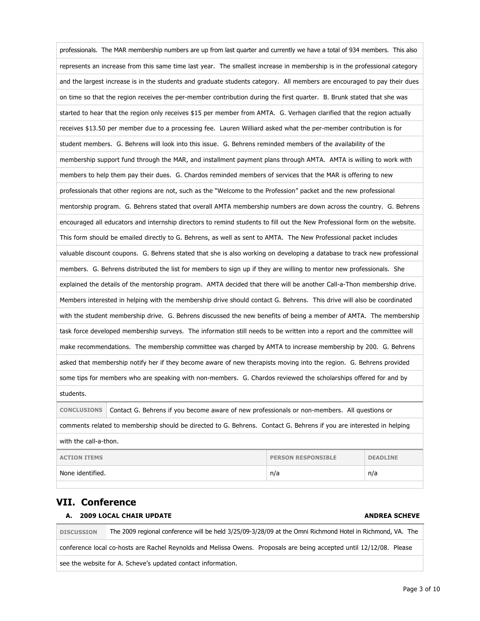| professionals. The MAR membership numbers are up from last quarter and currently we have a total of 934 members. This also |  |  |  |  |
|----------------------------------------------------------------------------------------------------------------------------|--|--|--|--|
| represents an increase from this same time last year. The smallest increase in membership is in the professional category  |  |  |  |  |
| and the largest increase is in the students and graduate students category. All members are encouraged to pay their dues   |  |  |  |  |
| on time so that the region receives the per-member contribution during the first quarter. B. Brunk stated that she was     |  |  |  |  |
| started to hear that the region only receives \$15 per member from AMTA. G. Verhagen clarified that the region actually    |  |  |  |  |
| receives \$13.50 per member due to a processing fee. Lauren Williard asked what the per-member contribution is for         |  |  |  |  |
| student members. G. Behrens will look into this issue. G. Behrens reminded members of the availability of the              |  |  |  |  |
| membership support fund through the MAR, and installment payment plans through AMTA. AMTA is willing to work with          |  |  |  |  |
| members to help them pay their dues. G. Chardos reminded members of services that the MAR is offering to new               |  |  |  |  |
| professionals that other regions are not, such as the "Welcome to the Profession" packet and the new professional          |  |  |  |  |
| mentorship program. G. Behrens stated that overall AMTA membership numbers are down across the country. G. Behrens         |  |  |  |  |
| encouraged all educators and internship directors to remind students to fill out the New Professional form on the website. |  |  |  |  |
| This form should be emailed directly to G. Behrens, as well as sent to AMTA. The New Professional packet includes          |  |  |  |  |
| valuable discount coupons. G. Behrens stated that she is also working on developing a database to track new professional   |  |  |  |  |
| members. G. Behrens distributed the list for members to sign up if they are willing to mentor new professionals. She       |  |  |  |  |
| explained the details of the mentorship program. AMTA decided that there will be another Call-a-Thon membership drive.     |  |  |  |  |
| Members interested in helping with the membership drive should contact G. Behrens. This drive will also be coordinated     |  |  |  |  |
| with the student membership drive. G. Behrens discussed the new benefits of being a member of AMTA. The membership         |  |  |  |  |
| task force developed membership surveys. The information still needs to be written into a report and the committee will    |  |  |  |  |
| make recommendations. The membership committee was charged by AMTA to increase membership by 200. G. Behrens               |  |  |  |  |
| asked that membership notify her if they become aware of new therapists moving into the region. G. Behrens provided        |  |  |  |  |
| some tips for members who are speaking with non-members. G. Chardos reviewed the scholarships offered for and by           |  |  |  |  |
| students.                                                                                                                  |  |  |  |  |
| Contact G. Behrens if you become aware of new professionals or non-members. All questions or<br><b>CONCLUSIONS</b>         |  |  |  |  |
| comments related to membership should be directed to G. Behrens. Contact G. Behrens if you are interested in helping       |  |  |  |  |
| with the call-a-thon.                                                                                                      |  |  |  |  |
| <b>DEADLINE</b><br><b>ACTION ITEMS</b><br><b>PERSON RESPONSIBLE</b>                                                        |  |  |  |  |
| None identified.<br>n/a<br>n/a                                                                                             |  |  |  |  |
|                                                                                                                            |  |  |  |  |

### **VII. Conference**

#### **A. 2009 LOCAL CHAIR UPDATE ANDREA SCHEVE**

**DISCUSSION** The 2009 regional conference will be held 3/25/09-3/28/09 at the Omni Richmond Hotel in Richmond, VA. The conference local co-hosts are Rachel Reynolds and Melissa Owens. Proposals are being accepted until 12/12/08. Please see the website for A. Scheve's updated contact information.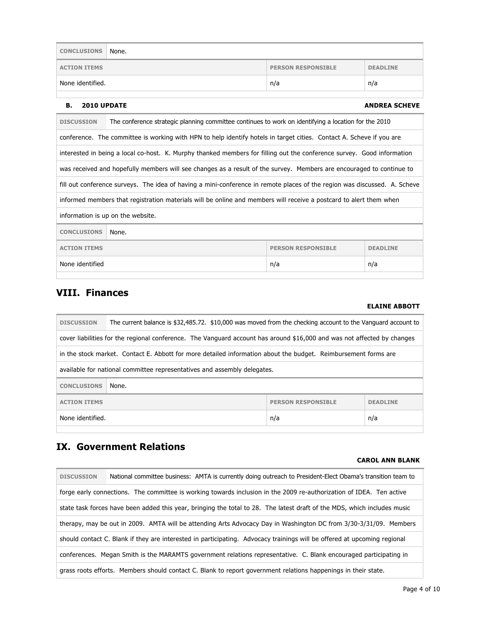| <b>CONCLUSIONS</b>                                                  | None. |  |  |
|---------------------------------------------------------------------|-------|--|--|
| <b>ACTION ITEMS</b><br><b>PERSON RESPONSIBLE</b><br><b>DEADLINE</b> |       |  |  |
| None identified.<br>n/a<br>n/a                                      |       |  |  |
|                                                                     |       |  |  |

#### **B.** 2010 UPDATE ANDREA SCHEVE

| <b>DISCUSSION</b>                                                   | The conference strategic planning committee continues to work on identifying a location for the 2010                      |  |  |  |
|---------------------------------------------------------------------|---------------------------------------------------------------------------------------------------------------------------|--|--|--|
|                                                                     | conference. The committee is working with HPN to help identify hotels in target cities. Contact A. Scheve if you are      |  |  |  |
|                                                                     | interested in being a local co-host. K. Murphy thanked members for filling out the conference survey. Good information    |  |  |  |
|                                                                     | was received and hopefully members will see changes as a result of the survey. Members are encouraged to continue to      |  |  |  |
|                                                                     | fill out conference surveys. The idea of having a mini-conference in remote places of the region was discussed. A. Scheve |  |  |  |
|                                                                     | informed members that registration materials will be online and members will receive a postcard to alert them when        |  |  |  |
|                                                                     | information is up on the website.                                                                                         |  |  |  |
| <b>CONCLUSIONS</b><br>None.                                         |                                                                                                                           |  |  |  |
| <b>ACTION ITEMS</b><br><b>PERSON RESPONSIBLE</b><br><b>DEADLINE</b> |                                                                                                                           |  |  |  |
| None identified<br>n/a<br>n/a                                       |                                                                                                                           |  |  |  |
|                                                                     |                                                                                                                           |  |  |  |

### **VIII. Finances**

#### **ELAINE ABBOTT**

| <b>DISCUSSION</b>                                                                                                       | The current balance is \$32,485.72. \$10,000 was moved from the checking account to the Vanguard account to |  |  |  |
|-------------------------------------------------------------------------------------------------------------------------|-------------------------------------------------------------------------------------------------------------|--|--|--|
| cover liabilities for the regional conference. The Vanguard account has around \$16,000 and was not affected by changes |                                                                                                             |  |  |  |
| in the stock market. Contact E. Abbott for more detailed information about the budget. Reimbursement forms are          |                                                                                                             |  |  |  |
|                                                                                                                         | available for national committee representatives and assembly delegates.                                    |  |  |  |
| <b>CONCLUSIONS</b><br>None.                                                                                             |                                                                                                             |  |  |  |
| <b>ACTION ITEMS</b><br><b>PERSON RESPONSIBLE</b><br><b>DEADLINE</b>                                                     |                                                                                                             |  |  |  |
| None identified.<br>n/a<br>n/a                                                                                          |                                                                                                             |  |  |  |
|                                                                                                                         |                                                                                                             |  |  |  |

### **IX. Government Relations**

#### **CAROL ANN BLANK**

| <b>DISCUSSION</b>                                                                                                        | National committee business: AMTA is currently doing outreach to President-Elect Obama's transition team to              |  |
|--------------------------------------------------------------------------------------------------------------------------|--------------------------------------------------------------------------------------------------------------------------|--|
|                                                                                                                          | forge early connections. The committee is working towards inclusion in the 2009 re-authorization of IDEA. Ten active     |  |
| state task forces have been added this year, bringing the total to 28. The latest draft of the MDS, which includes music |                                                                                                                          |  |
|                                                                                                                          | therapy, may be out in 2009. AMTA will be attending Arts Advocacy Day in Washington DC from 3/30-3/31/09. Members        |  |
|                                                                                                                          | should contact C. Blank if they are interested in participating. Advocacy trainings will be offered at upcoming regional |  |
|                                                                                                                          | conferences. Megan Smith is the MARAMTS government relations representative. C. Blank encouraged participating in        |  |
|                                                                                                                          | grass roots efforts. Members should contact C. Blank to report government relations happenings in their state.           |  |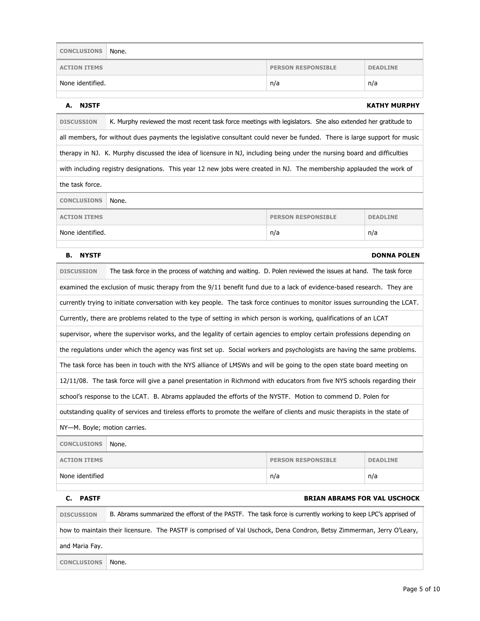| <b>CONCLUSIONS</b>  | None.                                        |     |     |
|---------------------|----------------------------------------------|-----|-----|
| <b>ACTION ITEMS</b> | <b>PERSON RESPONSIBLE</b><br><b>DEADLINE</b> |     |     |
| None identified.    |                                              | n/a | n/a |

#### **A. NJSTF KATHY MURPHY**

**DISCUSSION** K. Murphy reviewed the most recent task force meetings with legislators. She also extended her gratitude to all members, for without dues payments the legislative consultant could never be funded. There is large support for music therapy in NJ. K. Murphy discussed the idea of licensure in NJ, including being under the nursing board and difficulties with including registry designations. This year 12 new jobs were created in NJ. The membership applauded the work of the task force. **CONCLUSIONS** None. **ACTION ITEMS DEADLINE PERSON RESPONSIBLE DEADLINE** None identified. None identified.

#### **B.** NYSTF DONNA POLEN

| <b>PASTF</b><br>c.                                                                                                          |                                                                                                                             |     | <b>BRIAN ABRAMS FOR VAL USCHOCK</b> |  |
|-----------------------------------------------------------------------------------------------------------------------------|-----------------------------------------------------------------------------------------------------------------------------|-----|-------------------------------------|--|
| None identified                                                                                                             |                                                                                                                             | n/a | n/a                                 |  |
| <b>ACTION ITEMS</b><br><b>PERSON RESPONSIBLE</b><br><b>DEADLINE</b>                                                         |                                                                                                                             |     |                                     |  |
| <b>CONCLUSIONS</b><br>None.                                                                                                 |                                                                                                                             |     |                                     |  |
| NY-M. Boyle; motion carries.                                                                                                |                                                                                                                             |     |                                     |  |
| outstanding quality of services and tireless efforts to promote the welfare of clients and music therapists in the state of |                                                                                                                             |     |                                     |  |
| school's response to the LCAT. B. Abrams applauded the efforts of the NYSTF. Motion to commend D. Polen for                 |                                                                                                                             |     |                                     |  |
|                                                                                                                             | 12/11/08. The task force will give a panel presentation in Richmond with educators from five NYS schools regarding their    |     |                                     |  |
|                                                                                                                             | The task force has been in touch with the NYS alliance of LMSWs and will be going to the open state board meeting on        |     |                                     |  |
|                                                                                                                             | the regulations under which the agency was first set up. Social workers and psychologists are having the same problems.     |     |                                     |  |
|                                                                                                                             | supervisor, where the supervisor works, and the legality of certain agencies to employ certain professions depending on     |     |                                     |  |
|                                                                                                                             | Currently, there are problems related to the type of setting in which person is working, qualifications of an LCAT          |     |                                     |  |
|                                                                                                                             | currently trying to initiate conversation with key people. The task force continues to monitor issues surrounding the LCAT. |     |                                     |  |
| examined the exclusion of music therapy from the 9/11 benefit fund due to a lack of evidence-based research. They are       |                                                                                                                             |     |                                     |  |
| <b>DISCUSSION</b>                                                                                                           | The task force in the process of watching and waiting. D. Polen reviewed the issues at hand. The task force                 |     |                                     |  |
|                                                                                                                             |                                                                                                                             |     |                                     |  |

# **DISCUSSION** B. Abrams summarized the efforst of the PASTF. The task force is currently working to keep LPC's apprised of how to maintain their licensure. The PASTF is comprised of Val Uschock, Dena Condron, Betsy Zimmerman, Jerry O'Leary, and Maria Fay. **CONCLUSIONS** None.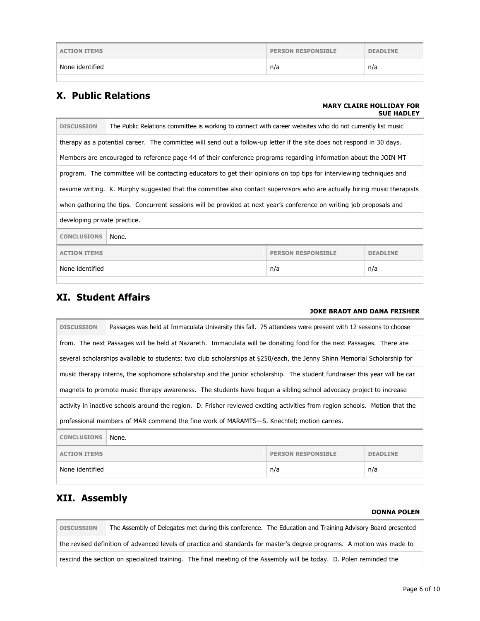| <b>ACTION ITEMS</b> | <b>PERSON RESPONSIBLE</b> | <b>DEADLINE</b> |
|---------------------|---------------------------|-----------------|
| None identified     | n/a                       | n/a             |
|                     |                           |                 |

### **X. Public Relations**

#### **MARY CLAIRE HOLLIDAY FOR SUE HADLEY**

| The Public Relations committee is working to connect with career websites who do not currently list music<br><b>DISCUSSION</b> |                                                                                                                          |  |  |  |
|--------------------------------------------------------------------------------------------------------------------------------|--------------------------------------------------------------------------------------------------------------------------|--|--|--|
|                                                                                                                                | therapy as a potential career. The committee will send out a follow-up letter if the site does not respond in 30 days.   |  |  |  |
|                                                                                                                                | Members are encouraged to reference page 44 of their conference programs regarding information about the JOIN MT         |  |  |  |
|                                                                                                                                | program. The committee will be contacting educators to get their opinions on top tips for interviewing techniques and    |  |  |  |
|                                                                                                                                | resume writing. K. Murphy suggested that the committee also contact supervisors who are actually hiring music therapists |  |  |  |
| when gathering the tips. Concurrent sessions will be provided at next year's conference on writing job proposals and           |                                                                                                                          |  |  |  |
| developing private practice.                                                                                                   |                                                                                                                          |  |  |  |
| <b>CONCLUSIONS</b><br>None.                                                                                                    |                                                                                                                          |  |  |  |
| <b>ACTION ITEMS</b><br><b>PERSON RESPONSIBLE</b><br><b>DEADLINE</b>                                                            |                                                                                                                          |  |  |  |
| None identified<br>n/a<br>n/a                                                                                                  |                                                                                                                          |  |  |  |
|                                                                                                                                |                                                                                                                          |  |  |  |

### **XI. Student Affairs**

#### **JOKE BRADT AND DANA FRISHER**

| <b>DISCUSSION</b>                                                                                                            | Passages was held at Immaculata University this fall. 75 attendees were present with 12 sessions to choose                |  |  |  |
|------------------------------------------------------------------------------------------------------------------------------|---------------------------------------------------------------------------------------------------------------------------|--|--|--|
|                                                                                                                              | from. The next Passages will be held at Nazareth. Immaculata will be donating food for the next Passages. There are       |  |  |  |
|                                                                                                                              | several scholarships available to students: two club scholarships at \$250/each, the Jenny Shinn Memorial Scholarship for |  |  |  |
|                                                                                                                              | music therapy interns, the sophomore scholarship and the junior scholarship. The student fundraiser this year will be car |  |  |  |
| magnets to promote music therapy awareness. The students have begun a sibling school advocacy project to increase            |                                                                                                                           |  |  |  |
| activity in inactive schools around the region. D. Frisher reviewed exciting activities from region schools. Motion that the |                                                                                                                           |  |  |  |
| professional members of MAR commend the fine work of MARAMTS—S. Knechtel; motion carries.                                    |                                                                                                                           |  |  |  |
| <b>CONCLUSIONS</b><br>None.                                                                                                  |                                                                                                                           |  |  |  |
| <b>ACTION ITEMS</b><br><b>PERSON RESPONSIBLE</b><br><b>DEADLINE</b>                                                          |                                                                                                                           |  |  |  |
| None identified<br>n/a<br>n/a                                                                                                |                                                                                                                           |  |  |  |
|                                                                                                                              |                                                                                                                           |  |  |  |

### **XII. Assembly**

#### **DONNA POLEN**

**DISCUSSION** The Assembly of Delegates met during this conference. The Education and Training Advisory Board presented the revised definition of advanced levels of practice and standards for master's degree programs. A motion was made to rescind the section on specialized training. The final meeting of the Assembly will be today. D. Polen reminded the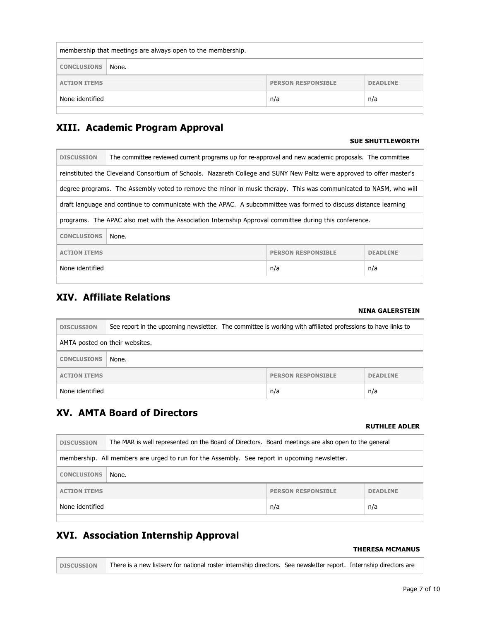| membership that meetings are always open to the membership.         |  |  |  |  |
|---------------------------------------------------------------------|--|--|--|--|
| <b>CONCLUSIONS</b><br>None.                                         |  |  |  |  |
| <b>ACTION ITEMS</b><br><b>PERSON RESPONSIBLE</b><br><b>DEADLINE</b> |  |  |  |  |
| None identified<br>n/a<br>n/a                                       |  |  |  |  |
|                                                                     |  |  |  |  |

### **XIII. Academic Program Approval**

#### **SUE SHUTTLEWORTH**

| <b>DISCUSSION</b>                                                                                                     | The committee reviewed current programs up for re-approval and new academic proposals. The committee              |  |  |  |
|-----------------------------------------------------------------------------------------------------------------------|-------------------------------------------------------------------------------------------------------------------|--|--|--|
| reinstituted the Cleveland Consortium of Schools. Nazareth College and SUNY New Paltz were approved to offer master's |                                                                                                                   |  |  |  |
|                                                                                                                       | degree programs. The Assembly voted to remove the minor in music therapy. This was communicated to NASM, who will |  |  |  |
| draft language and continue to communicate with the APAC. A subcommittee was formed to discuss distance learning      |                                                                                                                   |  |  |  |
| programs. The APAC also met with the Association Internship Approval committee during this conference.                |                                                                                                                   |  |  |  |
| <b>CONCLUSIONS</b><br>None.                                                                                           |                                                                                                                   |  |  |  |
| <b>ACTION ITEMS</b><br><b>PERSON RESPONSIBLE</b><br><b>DEADLINE</b>                                                   |                                                                                                                   |  |  |  |
| None identified<br>n/a<br>n/a                                                                                         |                                                                                                                   |  |  |  |

### **XIV. Affiliate Relations**

#### **NINA GALERSTEIN**

| <b>DISCUSSION</b>                                                   | See report in the upcoming newsletter. The committee is working with affiliated professions to have links to |  |  |
|---------------------------------------------------------------------|--------------------------------------------------------------------------------------------------------------|--|--|
| AMTA posted on their websites.                                      |                                                                                                              |  |  |
| <b>CONCLUSIONS</b>                                                  | None.                                                                                                        |  |  |
| <b>PERSON RESPONSIBLE</b><br><b>DEADLINE</b><br><b>ACTION ITEMS</b> |                                                                                                              |  |  |
| None identified<br>n/a<br>n/a                                       |                                                                                                              |  |  |

### **XV. AMTA Board of Directors**

### **RUTHLEE ADLER**

| <b>DISCUSSION</b>                                                                             | The MAR is well represented on the Board of Directors. Board meetings are also open to the general |  |  |
|-----------------------------------------------------------------------------------------------|----------------------------------------------------------------------------------------------------|--|--|
| membership. All members are urged to run for the Assembly. See report in upcoming newsletter. |                                                                                                    |  |  |
| <b>CONCLUSIONS</b><br>None.                                                                   |                                                                                                    |  |  |
| <b>ACTION ITEMS</b><br><b>PERSON RESPONSIBLE</b><br><b>DEADLINE</b>                           |                                                                                                    |  |  |
| None identified<br>n/a<br>n/a                                                                 |                                                                                                    |  |  |

## **XVI. Association Internship Approval**

#### **THERESA MCMANUS**

**DISCUSSION** There is a new listserv for national roster internship directors. See newsletter report. Internship directors are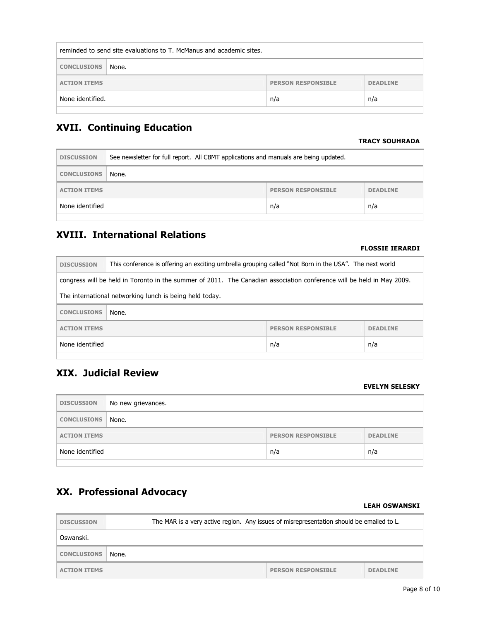| reminded to send site evaluations to T. McManus and academic sites. |  |  |  |  |
|---------------------------------------------------------------------|--|--|--|--|
| <b>CONCLUSIONS</b><br>None.                                         |  |  |  |  |
| <b>ACTION ITEMS</b><br><b>PERSON RESPONSIBLE</b><br><b>DEADLINE</b> |  |  |  |  |
| None identified.<br>n/a<br>n/a                                      |  |  |  |  |
|                                                                     |  |  |  |  |

### **XVII. Continuing Education**

#### **TRACY SOUHRADA**

| <b>DISCUSSION</b>                                                   | See newsletter for full report. All CBMT applications and manuals are being updated. |  |  |
|---------------------------------------------------------------------|--------------------------------------------------------------------------------------|--|--|
| <b>CONCLUSIONS</b>                                                  | None.                                                                                |  |  |
| <b>PERSON RESPONSIBLE</b><br><b>DEADLINE</b><br><b>ACTION ITEMS</b> |                                                                                      |  |  |
| None identified<br>n/a<br>n/a                                       |                                                                                      |  |  |
|                                                                     |                                                                                      |  |  |

## **XVIII. International Relations**

### **FLOSSIE IERARDI**

| <b>DISCUSSION</b>                                                                                                     | This conference is offering an exciting umbrella grouping called "Not Born in the USA". The next world |  |  |  |
|-----------------------------------------------------------------------------------------------------------------------|--------------------------------------------------------------------------------------------------------|--|--|--|
| congress will be held in Toronto in the summer of 2011. The Canadian association conference will be held in May 2009. |                                                                                                        |  |  |  |
| The international networking lunch is being held today.                                                               |                                                                                                        |  |  |  |
| <b>CONCLUSIONS</b><br>None.                                                                                           |                                                                                                        |  |  |  |
| <b>ACTION ITEMS</b><br><b>PERSON RESPONSIBLE</b><br><b>DEADLINE</b>                                                   |                                                                                                        |  |  |  |
| None identified<br>n/a<br>n/a                                                                                         |                                                                                                        |  |  |  |

## **XIX. Judicial Review**

#### **EVELYN SELESKY**

| <b>DISCUSSION</b>                                                   | No new grievances. |  |  |
|---------------------------------------------------------------------|--------------------|--|--|
| <b>CONCLUSIONS</b>                                                  | None.              |  |  |
| <b>DEADLINE</b><br><b>PERSON RESPONSIBLE</b><br><b>ACTION ITEMS</b> |                    |  |  |
| None identified<br>n/a<br>n/a                                       |                    |  |  |

### **XX. Professional Advocacy**

#### **LEAH OSWANSKI**

| <b>DISCUSSION</b>   | The MAR is a very active region. Any issues of misrepresentation should be emailed to L. |                           |                 |
|---------------------|------------------------------------------------------------------------------------------|---------------------------|-----------------|
| Oswanski.           |                                                                                          |                           |                 |
| <b>CONCLUSIONS</b>  | None.                                                                                    |                           |                 |
| <b>ACTION ITEMS</b> |                                                                                          | <b>PERSON RESPONSIBLE</b> | <b>DEADLINE</b> |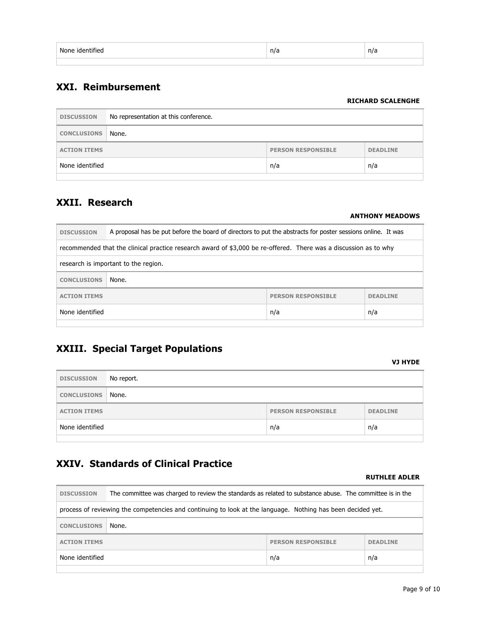| None identified | n/a | n/a |
|-----------------|-----|-----|
|                 |     |     |

### **XXI. Reimbursement**

#### **RICHARD SCALENGHE**

| <b>DISCUSSION</b>   | No representation at this conference. |                           |                 |
|---------------------|---------------------------------------|---------------------------|-----------------|
| <b>CONCLUSIONS</b>  | None.                                 |                           |                 |
| <b>ACTION ITEMS</b> |                                       | <b>PERSON RESPONSIBLE</b> | <b>DEADLINE</b> |
| None identified     |                                       | n/a                       | n/a             |
|                     |                                       |                           |                 |

### **XXII. Research**

#### **ANTHONY MEADOWS**

| <b>DISCUSSION</b>                                                                                                | A proposal has be put before the board of directors to put the abstracts for poster sessions online. It was |  |
|------------------------------------------------------------------------------------------------------------------|-------------------------------------------------------------------------------------------------------------|--|
| recommended that the clinical practice research award of \$3,000 be re-offered. There was a discussion as to why |                                                                                                             |  |
| research is important to the region.                                                                             |                                                                                                             |  |
| <b>CONCLUSIONS</b>                                                                                               | None.                                                                                                       |  |
| <b>PERSON RESPONSTBLE</b><br><b>ACTION ITEMS</b><br><b>DEADLINE</b>                                              |                                                                                                             |  |
| None identified<br>n/a<br>n/a                                                                                    |                                                                                                             |  |

### **XXIII. Special Target Populations**

#### **VJ HYDE**

| <b>DISCUSSION</b>        | No report. |                           |                 |
|--------------------------|------------|---------------------------|-----------------|
| <b>CONCLUSIONS None.</b> |            |                           |                 |
| <b>ACTION ITEMS</b>      |            | <b>PERSON RESPONSIBLE</b> | <b>DEADLINE</b> |
| None identified          |            | n/a                       | n/a             |

## **XXIV. Standards of Clinical Practice**

#### **RUTHLEE ADLER**

| <b>DISCUSSION</b>                                                                                           | The committee was charged to review the standards as related to substance abuse. The committee is in the |                           |                 |
|-------------------------------------------------------------------------------------------------------------|----------------------------------------------------------------------------------------------------------|---------------------------|-----------------|
| process of reviewing the competencies and continuing to look at the language. Nothing has been decided yet. |                                                                                                          |                           |                 |
| <b>CONCLUSIONS</b>                                                                                          | None.                                                                                                    |                           |                 |
| <b>ACTION ITEMS</b>                                                                                         |                                                                                                          | <b>PERSON RESPONSIBLE</b> | <b>DEADLINE</b> |
| None identified                                                                                             |                                                                                                          | n/a                       | n/a             |